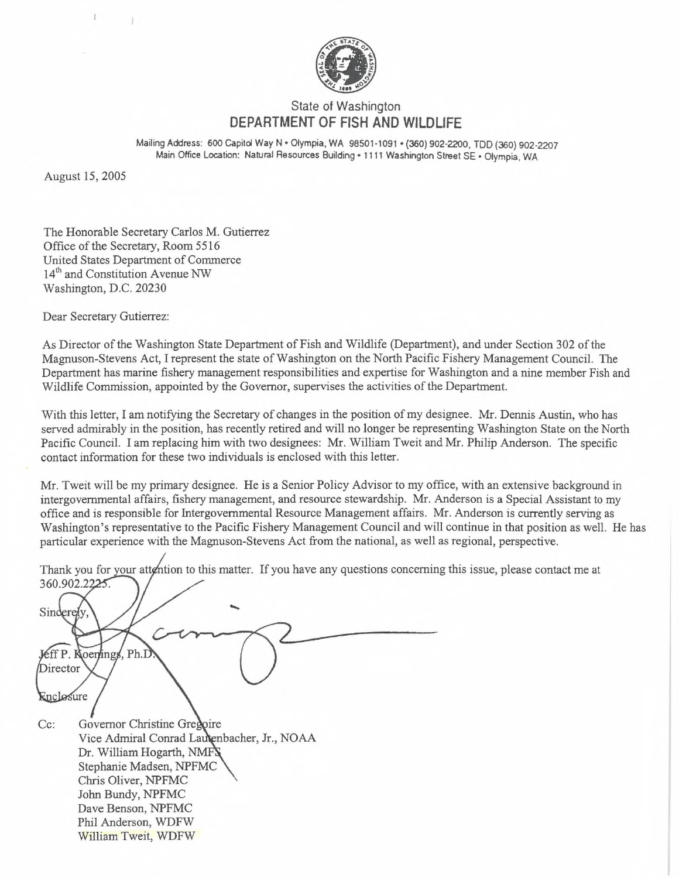

## State of Washington **DEPARTMENT OF FISH AND WILDLIFE**

Mailing Address: 600 Capitol Way N • Olympia, WA 98501-1091 • (360) 902-2200. TDD (360) 902-2207 Main Office Location: Natural Resources Building \*1111 Washington Street SE • Olympia, WA

August 15, 2005

1

The Honorable Secretary Carlos M. Gutierrez Office of the Secretary, Room 5516 United States Department of Commerce 14<sup>th</sup> and Constitution Avenue NW Washington, D.C. 20230

Dear Secretary Gutierrez:

As Director of the Washington State Department of Fish and Wildlife (Department), and under Section 302 of the Magnuson-Stevens Act, I represent the state of Washington on the North Pacific Fishery Management Council. The Department has marine fishery management responsibilities and expertise for Washington and a nine member Fish and Wildlife Commission, appointed by the Governor, supervises the activities of the Department.

With this letter, I am notifying the Secretary of changes in the position of my designee. Mr. Dennis Austin, who has served admirably in the position, has recently retired and will no longer be representing Washington State on the North Pacific Council. I am replacing him with two designees: Mr. William Tweit and Mr. Philip Anderson. The specific contact information for these two individuals is enclosed with this letter.

Mr. Tweit will be my primary designee. He is a Senior Policy Advisor to my office, with an extensive background in intergovernmental affairs, fishery management, and resource stewardship. Mr. Anderson is a Special Assistant to my office and is responsible for Intergovernmental Resource Management affairs. Mr. Anderson is currently serving as Washington's representative to the Pacific Fishery Management Council and will continue in that position as well. He has particular experience with the Magnuson-Stevens Act from the national, as well as regional, perspective.

Thank you for your attention to this matter. If you have any questions concerning this issue, please contact me at 360.902.2225.

Sinderely Jeff P. Koenings, Ph.D Director Enclosure  $Cc$ : Governor Christine Gre Vice Admiral Conrad Lautenbacher, Jr., NOAA Dr. William Hogarth, NMFS Stephanie Madsen, NPFMC Chris Oliver, NPFMC John Bundy, NPFMC Dave Benson, NPFMC Phil Anderson, WDFW William Tweit, WDFW